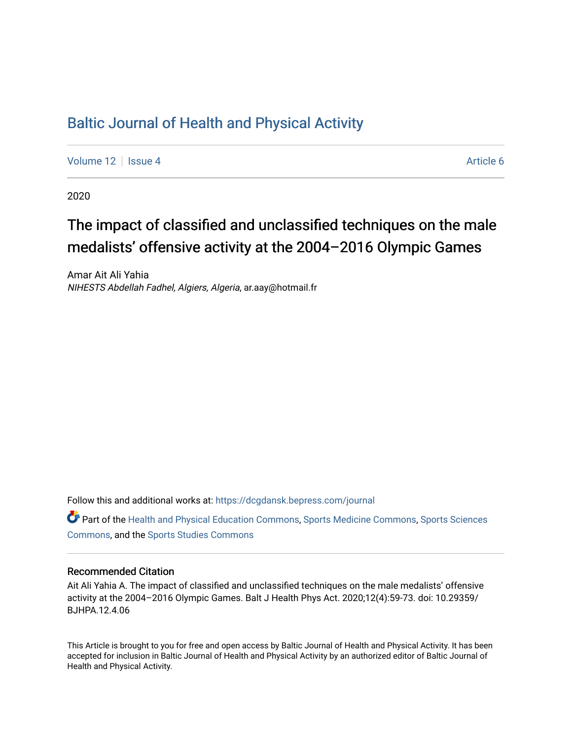## [Baltic Journal of Health and Physical Activity](https://dcgdansk.bepress.com/journal)

[Volume 12](https://dcgdansk.bepress.com/journal/vol12) | [Issue 4](https://dcgdansk.bepress.com/journal/vol12/iss4) Article 6

2020

# The impact of classified and unclassified techniques on the male medalists' offensive activity at the 2004–2016 Olympic Games

Amar Ait Ali Yahia NIHESTS Abdellah Fadhel, Algiers, Algeria, ar.aay@hotmail.fr

Follow this and additional works at: [https://dcgdansk.bepress.com/journal](https://dcgdansk.bepress.com/journal?utm_source=dcgdansk.bepress.com%2Fjournal%2Fvol12%2Fiss4%2F6&utm_medium=PDF&utm_campaign=PDFCoverPages)

Part of the [Health and Physical Education Commons](http://network.bepress.com/hgg/discipline/1327?utm_source=dcgdansk.bepress.com%2Fjournal%2Fvol12%2Fiss4%2F6&utm_medium=PDF&utm_campaign=PDFCoverPages), [Sports Medicine Commons,](http://network.bepress.com/hgg/discipline/1331?utm_source=dcgdansk.bepress.com%2Fjournal%2Fvol12%2Fiss4%2F6&utm_medium=PDF&utm_campaign=PDFCoverPages) [Sports Sciences](http://network.bepress.com/hgg/discipline/759?utm_source=dcgdansk.bepress.com%2Fjournal%2Fvol12%2Fiss4%2F6&utm_medium=PDF&utm_campaign=PDFCoverPages) [Commons](http://network.bepress.com/hgg/discipline/759?utm_source=dcgdansk.bepress.com%2Fjournal%2Fvol12%2Fiss4%2F6&utm_medium=PDF&utm_campaign=PDFCoverPages), and the [Sports Studies Commons](http://network.bepress.com/hgg/discipline/1198?utm_source=dcgdansk.bepress.com%2Fjournal%2Fvol12%2Fiss4%2F6&utm_medium=PDF&utm_campaign=PDFCoverPages) 

## Recommended Citation

Ait Ali Yahia A. The impact of classified and unclassified techniques on the male medalists' offensive activity at the 2004–2016 Olympic Games. Balt J Health Phys Act. 2020;12(4):59-73. doi: 10.29359/ BJHPA.12.4.06

This Article is brought to you for free and open access by Baltic Journal of Health and Physical Activity. It has been accepted for inclusion in Baltic Journal of Health and Physical Activity by an authorized editor of Baltic Journal of Health and Physical Activity.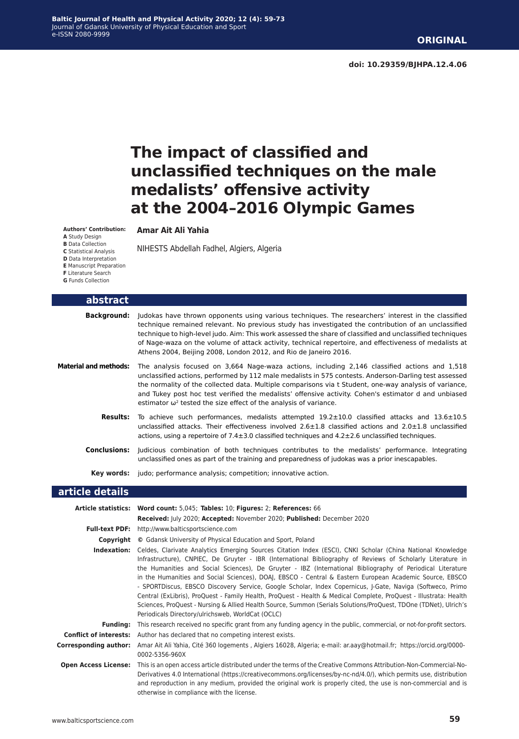## **The impact of classified and unclassified techniques on the male medalists' offensive activity at the 2004–2016 Olympic Games**

#### **Amar Ait Ali Yahia**

NIHESTS Abdellah Fadhel, Algiers, Algeria

**Authors' Contribution: A** Study Design **B** Data Collection **C** Statistical Analysis **D** Data Interpretation **E** Manuscript Preparation **F** Literature Search **G** Funds Collection

| abstract                     |                                                                                                                                                                                                                                                                                                                                                                                                                                                                                                                                                                             |
|------------------------------|-----------------------------------------------------------------------------------------------------------------------------------------------------------------------------------------------------------------------------------------------------------------------------------------------------------------------------------------------------------------------------------------------------------------------------------------------------------------------------------------------------------------------------------------------------------------------------|
| <b>Background:</b>           | Judokas have thrown opponents using various techniques. The researchers' interest in the classified<br>technique remained relevant. No previous study has investigated the contribution of an unclassified<br>technique to high-level judo. Aim: This work assessed the share of classified and unclassified techniques<br>of Nage-waza on the volume of attack activity, technical repertoire, and effectiveness of medalists at<br>Athens 2004, Beijing 2008, London 2012, and Rio de Janeiro 2016.                                                                       |
| <b>Material and methods:</b> | The analysis focused on 3,664 Nage-waza actions, including 2,146 classified actions and 1,518<br>unclassified actions, performed by 112 male medalists in 575 contests. Anderson-Darling test assessed<br>the normality of the collected data. Multiple comparisons via t Student, one-way analysis of variance,<br>and Tukey post hoc test verified the medalists' offensive activity. Cohen's estimator d and unbiased<br>estimator $\omega^2$ tested the size effect of the analysis of variance.                                                                        |
| <b>Results:</b>              | To achieve such performances, medalists attempted $19.2 \pm 10.0$ classified attacks and $13.6 \pm 10.5$<br>unclassified attacks. Their effectiveness involved $2.6\pm1.8$ classified actions and $2.0\pm1.8$ unclassified<br>actions, using a repertoire of $7.4 \pm 3.0$ classified techniques and $4.2 \pm 2.6$ unclassified techniques.                                                                                                                                                                                                                                 |
| <b>Conclusions:</b>          | Judicious combination of both techniques contributes to the medalists' performance. Integrating<br>unclassified ones as part of the training and preparedness of judokas was a prior inescapables.                                                                                                                                                                                                                                                                                                                                                                          |
|                              | <b>Key words:</b> judo; performance analysis; competition; innovative action.                                                                                                                                                                                                                                                                                                                                                                                                                                                                                               |
| article details              |                                                                                                                                                                                                                                                                                                                                                                                                                                                                                                                                                                             |
|                              | Article statistics: Word count: 5,045; Tables: 10; Figures: 2; References: 66<br>Received: July 2020; Accepted: November 2020; Published: December 2020                                                                                                                                                                                                                                                                                                                                                                                                                     |
|                              | Full-text PDF: http://www.balticsportscience.com                                                                                                                                                                                                                                                                                                                                                                                                                                                                                                                            |
|                              | <b>Copyright</b> © Gdansk University of Physical Education and Sport, Poland                                                                                                                                                                                                                                                                                                                                                                                                                                                                                                |
|                              | Indexation: Celdes, Clarivate Analytics Emerging Sources Citation Index (ESCI), CNKI Scholar (China National Knowledge<br>Infrastructure), CNPIEC, De Gruyter - IBR (International Bibliography of Reviews of Scholarly Literature in<br>the Humanities and Social Sciences), De Gruyter - IBZ (International Bibliography of Periodical Literature<br>in the Humanities and Social Sciences), DOAJ, EBSCO - Central & Eastern European Academic Source, EBSCO<br>- SPORTDiscus, EBSCO Discovery Service, Google Scholar, Index Copernicus, J-Gate, Naviga (Softweco, Primo |

**Funding:** This research received no specific grant from any funding agency in the public, commercial, or not-for-profit sectors. **Conflict of interests:** Author has declared that no competing interest exists.

Periodicals Directory/ulrichsweb, WorldCat (OCLC)

Central (ExLibris), ProQuest - Family Health, ProQuest - Health & Medical Complete, ProQuest - Illustrata: Health Sciences, ProQuest - Nursing & Allied Health Source, Summon (Serials Solutions/ProQuest, TDOne (TDNet), Ulrich's

**Corresponding author:** Amar Ait Ali Yahia, Cité 360 logements , Algiers 16028, Algeria; e-mail: ar.aay@hotmail.fr; https://orcid.org/0000- 0002-5356-960X

**Open Access License:** This is an open access article distributed under the terms of the Creative Commons Attribution-Non-Commercial-No-Derivatives 4.0 International (https://creativecommons.org/licenses/by-nc-nd/4.0/), which permits use, distribution and reproduction in any medium, provided the original work is properly cited, the use is non-commercial and is otherwise in compliance with the license.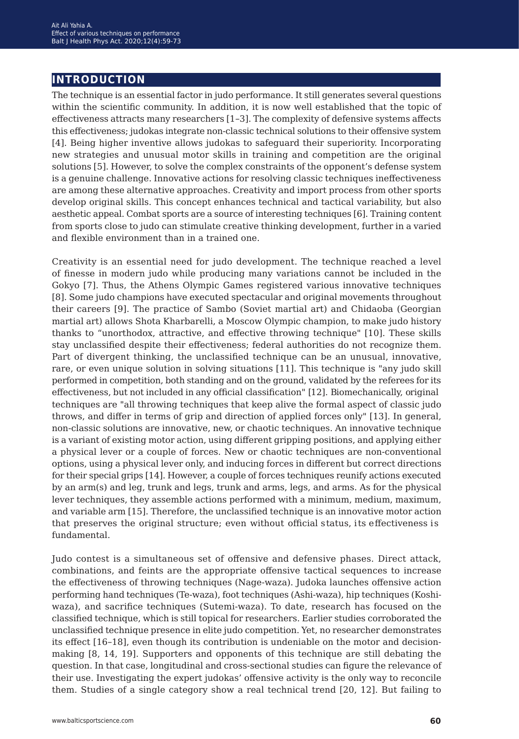## **introduction**

The technique is an essential factor in judo performance. It still generates several questions within the scientific community. In addition, it is now well established that the topic of effectiveness attracts many researchers [1*−*3]. The complexity of defensive systems affects this effectiveness; judokas integrate non-classic technical solutions to their offensive system [4]. Being higher inventive allows judokas to safeguard their superiority. Incorporating new strategies and unusual motor skills in training and competition are the original solutions [5]. However, to solve the complex constraints of the opponent's defense system is a genuine challenge. Innovative actions for resolving classic techniques ineffectiveness are among these alternative approaches. Creativity and import process from other sports develop original skills. This concept enhances technical and tactical variability, but also aesthetic appeal. Combat sports are a source of interesting techniques [6]. Training content from sports close to judo can stimulate creative thinking development, further in a varied and flexible environment than in a trained one.

Creativity is an essential need for judo development. The technique reached a level of finesse in modern judo while producing many variations cannot be included in the Gokyo [7]. Thus, the Athens Olympic Games registered various innovative techniques [8]. Some judo champions have executed spectacular and original movements throughout their careers [9]. The practice of Sambo (Soviet martial art) and Chidaoba (Georgian martial art) allows Shota Kharbarelli, a Moscow Olympic champion, to make judo history thanks to "unorthodox, attractive, and effective throwing technique" [10]. These skills stay unclassified despite their effectiveness; federal authorities do not recognize them. Part of divergent thinking, the unclassified technique can be an unusual, innovative, rare, or even unique solution in solving situations [11]. This technique is "any judo skill performed in competition, both standing and on the ground, validated by the referees for its effectiveness, but not included in any official classification" [12]. Biomechanically, original techniques are "all throwing techniques that keep alive the formal aspect of classic judo throws, and differ in terms of grip and direction of applied forces only" [13]. In general, non-classic solutions are innovative, new, or chaotic techniques. An innovative technique is a variant of existing motor action, using different gripping positions, and applying either a physical lever or a couple of forces. New or chaotic techniques are non-conventional options, using a physical lever only, and inducing forces in different but correct directions for their special grips [14]. However, a couple of forces techniques reunify actions executed by an arm(s) and leg, trunk and legs, trunk and arms, legs, and arms. As for the physical lever techniques, they assemble actions performed with a minimum, medium, maximum, and variable arm [15]. Therefore, the unclassified technique is an innovative motor action that preserves the original structure; even without official status, its effectiveness is fundamental.

Judo contest is a simultaneous set of offensive and defensive phases. Direct attack, combinations, and feints are the appropriate offensive tactical sequences to increase the effectiveness of throwing techniques (Nage-waza). Judoka launches offensive action performing hand techniques (Te-waza), foot techniques (Ashi-waza), hip techniques (Koshiwaza), and sacrifice techniques (Sutemi-waza). To date, research has focused on the classified technique, which is still topical for researchers. Earlier studies corroborated the unclassified technique presence in elite judo competition. Yet, no researcher demonstrates its effect [16*−*18], even though its contribution is undeniable on the motor and decisionmaking [8, 14, 19]. Supporters and opponents of this technique are still debating the question. In that case, longitudinal and cross-sectional studies can figure the relevance of their use. Investigating the expert judokas' offensive activity is the only way to reconcile them. Studies of a single category show a real technical trend [20, 12]. But failing to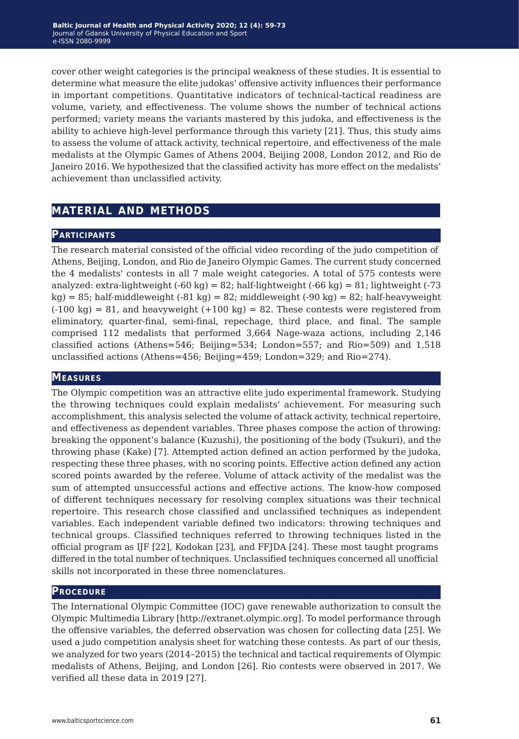cover other weight categories is the principal weakness of these studies. It is essential to determine what measure the elite judokas' offensive activity influences their performance in important competitions. Quantitative indicators of technical-tactical readiness are volume, variety, and effectiveness. The volume shows the number of technical actions performed; variety means the variants mastered by this judoka, and effectiveness is the ability to achieve high-level performance through this variety [21]. Thus, this study aims to assess the volume of attack activity, technical repertoire, and effectiveness of the male medalists at the Olympic Games of Athens 2004, Beijing 2008, London 2012, and Rio de Janeiro 2016. We hypothesized that the classified activity has more effect on the medalists' achievement than unclassified activity.

## **material and methods**

## **Participants**

The research material consisted of the official video recording of the judo competition of Athens, Beijing, London, and Rio de Janeiro Olympic Games. The current study concerned the 4 medalists' contests in all 7 male weight categories. A total of 575 contests were analyzed: extra-lightweight  $(-60 \text{ kg}) = 82$ ; half-lightweight  $(-66 \text{ kg}) = 81$ ; lightweight  $(-73 \text{ kg})$  $kg$ ) = 85; half-middleweight (-81 kg) = 82; middleweight (-90 kg) = 82; half-heavyweight  $(-100 \text{ kg}) = 81$ , and heavyweight  $(+100 \text{ kg}) = 82$ . These contests were registered from eliminatory, quarter-final, semi-final, repechage, third place, and final. The sample comprised 112 medalists that performed 3,664 Nage-waza actions, including 2,146 classified actions (Athens=546; Beijing=534; London=557; and Rio=509) and 1,518 unclassified actions (Athens=456; Beijing=459; London=329; and Rio=274).

### **Measures**

The Olympic competition was an attractive elite judo experimental framework. Studying the throwing techniques could explain medalists' achievement. For measuring such accomplishment, this analysis selected the volume of attack activity, technical repertoire, and effectiveness as dependent variables. Three phases compose the action of throwing: breaking the opponent's balance (Kuzushi), the positioning of the body (Tsukuri), and the throwing phase (Kake) [7]. Attempted action defined an action performed by the judoka, respecting these three phases, with no scoring points. Effective action defined any action scored points awarded by the referee. Volume of attack activity of the medalist was the sum of attempted unsuccessful actions and effective actions. The know-how composed of different techniques necessary for resolving complex situations was their technical repertoire. This research chose classified and unclassified techniques as independent variables. Each independent variable defined two indicators: throwing techniques and technical groups. Classified techniques referred to throwing techniques listed in the official program as IJF [22], Kodokan [23], and FFJDA [24]. These most taught programs differed in the total number of techniques. Unclassified techniques concerned all unofficial skills not incorporated in these three nomenclatures.

### **Procedure**

The International Olympic Committee (IOC) gave renewable authorization to consult the Olympic Multimedia Library [http://extranet.olympic.org]. To model performance through the offensive variables, the deferred observation was chosen for collecting data [25]. We used a judo competition analysis sheet for watching these contests. As part of our thesis, we analyzed for two years (2014*−*2015) the technical and tactical requirements of Olympic medalists of Athens, Beijing, and London [26]. Rio contests were observed in 2017. We verified all these data in 2019 [27].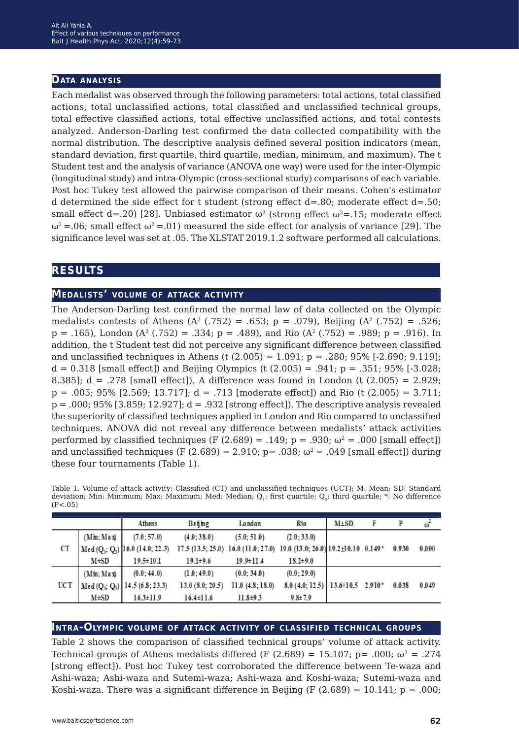### **Data analysis**

Each medalist was observed through the following parameters: total actions, total classified actions, total unclassified actions, total classified and unclassified technical groups, total effective classified actions, total effective unclassified actions, and total contests analyzed. Anderson-Darling test confirmed the data collected compatibility with the normal distribution. The descriptive analysis defined several position indicators (mean, standard deviation, first quartile, third quartile, median, minimum, and maximum). The t Student test and the analysis of variance (ANOVA one way) were used for the inter-Olympic (longitudinal study) and intra-Olympic (cross-sectional study) comparisons of each variable. Post hoc Tukey test allowed the pairwise comparison of their means. Cohen's estimator d determined the side effect for t student (strong effect  $d=0.80$ ; moderate effect  $d=.50$ ; small effect d=.20) [28]. Unbiased estimator  $\omega^2$  (strong effect  $\omega^2$ =.15; moderate effect  $ω^2 = 0.06$ ; small effect  $ω^2 = 0.01$ ) measured the side effect for analysis of variance [29]. The significance level was set at .05. The XLSTAT 2019.1.2 software performed all calculations.

## **results**

## **Medalists' volume of attack activity**

The Anderson-Darling test confirmed the normal law of data collected on the Olympic medalists contests of Athens ( $A^2$  (.752) = .653; p = .079), Beijing ( $A^2$  (.752) = .526;  $p = .165$ , London (A<sup>2</sup> (.752) = .334;  $p = .489$ ), and Rio (A<sup>2</sup> (.752) = .989;  $p = .916$ ). In addition, the t Student test did not perceive any significant difference between classified and unclassified techniques in Athens (t  $(2.005) = 1.091$ ; p = .280; 95% [-2.690; 9.119];  $d = 0.318$  [small effect]) and Beijing Olympics (t  $(2.005) = .941$ ; p = .351; 95% [-3.028; 8.385];  $d = .278$  [small effect]). A difference was found in London (t  $(2.005) = 2.929$ ;  $p = .005; 95\%$  [2.569; 13.717];  $d = .713$  [moderate effect]) and Rio (t (2.005) = 3.711;  $p = .000; 95%$  [3.859; 12.927];  $d = .932$  [strong effect]). The descriptive analysis revealed the superiority of classified techniques applied in London and Rio compared to unclassified techniques. ANOVA did not reveal any difference between medalists' attack activities performed by classified techniques (F  $(2.689) = .149$ ; p = .930;  $\omega^2$  = .000 [small effect]) and unclassified techniques (F (2.689) = 2.910; p= .038;  $\omega^2$  = .049 [small effect]) during these four tournaments (Table 1).

|     |            | Athens                                                  | Beijing         | London                                                                       | Rio                                                            | $M \pm SD$ | F | P     | $\omega^2$ |
|-----|------------|---------------------------------------------------------|-----------------|------------------------------------------------------------------------------|----------------------------------------------------------------|------------|---|-------|------------|
|     | (Min; Max) | (7.0; 57.0)                                             | (4.0; 38.0)     | (5.0; 51.0)                                                                  | (2.0; 33.0)                                                    |            |   |       |            |
| CT  |            | Med ( $Q_1$ ; $Q_3$ ) 16.0 (14.0; 22.3)                 |                 | 17.5 (13.5; 25.0) 16.0 (11.0; 27.0) 19.0 (13.0; 26.0) 19.2 ± 10.10 0.149 $*$ |                                                                |            |   | 0.930 | 0.000      |
|     | M±SD       | $19.5 \pm 10.1$                                         | $19.1 \pm 9.6$  | $19.9 \pm 11.4$                                                              | $18.2 \pm 9.0$                                                 |            |   |       |            |
| UCT | (Min; Max) | (0.0; 44.0)                                             | (1.0; 49.0)     | (0.0; 34.0)                                                                  | (0.0; 29.0)                                                    |            |   |       |            |
|     |            | Med (Q <sub>1</sub> ; Q <sub>3</sub> ) 14.5 (6.8; 23.3) | 13.0(8.0; 20.5) | 11.0(4.8; 18.0)                                                              | $8.0(4.0, 12.5)$ 13.6±10.5 2.910 <sup><math>\star</math></sup> |            |   | 0.038 | 0.049      |
|     | M±SD       | $16.3 \pm 11.9$                                         | $16.4 \pm 11.6$ | $11.8 \pm 9.3$                                                               | $9.8 \pm 7.9$                                                  |            |   |       |            |

Table 1. Volume of attack activity: Classified (CT) and unclassified techniques (UCT); M: Mean; SD: Standard deviation; Min: Minimum; Max: Maximum; Med: Median; Q<sub>1</sub>: first quartile; Q<sub>3</sub>: third quartile; \*: No difference  $(P<.05)$ 

### **Intra-Olympic volume of attack activity of classified technical groups**

Table 2 shows the comparison of classified technical groups' volume of attack activity. Technical groups of Athens medalists differed (F (2.689) = 15.107; p= .000;  $\omega^2$  = .274 [strong effect]). Post hoc Tukey test corroborated the difference between Te-waza and Ashi-waza; Ashi-waza and Sutemi-waza; Ashi-waza and Koshi-waza; Sutemi-waza and Koshi-waza. There was a significant difference in Beijing (F  $(2.689) = 10.141$ ; p = .000;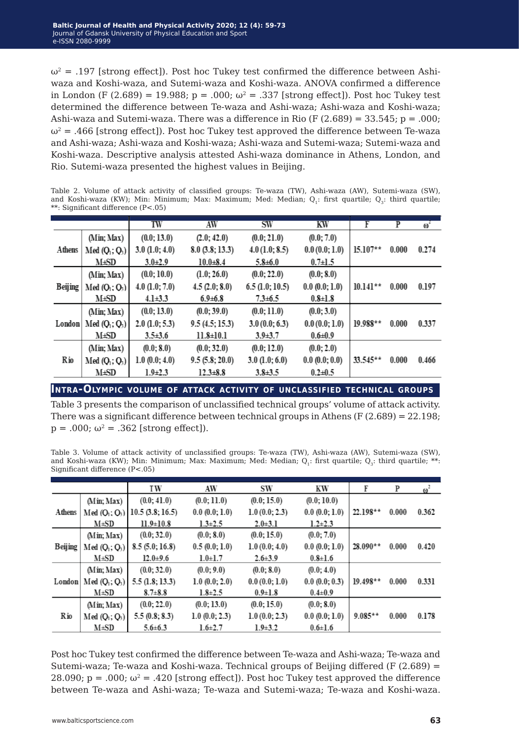$\omega^2$  = .197 [strong effect]). Post hoc Tukey test confirmed the difference between Ashiwaza and Koshi-waza, and Sutemi-waza and Koshi-waza. ANOVA confirmed a difference in London (F (2.689) = 19.988; p = .000;  $\omega^2$  = .337 [strong effect]). Post hoc Tukey test determined the difference between Te-waza and Ashi-waza; Ashi-waza and Koshi-waza; Ashi-waza and Sutemi-waza. There was a difference in Rio (F  $(2.689) = 33.545$ ; p = .000;  $\omega^2 = .466$  [strong effect]). Post hoc Tukey test approved the difference between Te-waza and Ashi-waza; Ashi-waza and Koshi-waza; Ashi-waza and Sutemi-waza; Sutemi-waza and Koshi-waza. Descriptive analysis attested Ashi-waza dominance in Athens, London, and Rio. Sutemi-waza presented the highest values in Beijing.

Table 2. Volume of attack activity of classified groups: Te-waza (TW), Ashi-waza (AW), Sutemi-waza (SW), and Koshi-waza (KW); Min: Minimum; Max: Maximum; Med: Median; Q<sub>1</sub>: first quartile; Q<sub>3</sub>: third quartile; \*\*: Significant difference (P<.05)

|                |                                       | TW                 | AW              | SW             | KW            | F          | P     | $\omega$ <sup>2</sup> |
|----------------|---------------------------------------|--------------------|-----------------|----------------|---------------|------------|-------|-----------------------|
|                | (Min; Max)                            | (0.0; 13.0)        | (2.0, 42.0)     | (0.0; 21.0)    | (0.0; 7.0)    |            |       |                       |
| Athens         | Med $(Q_1; Q_3)$                      | $3.0$ $(1.0; 4.0)$ | 8.0(3.8; 13.3)  | 4.0(1.0; 8.5)  | 0.0(0.0; 1.0) | $15.107**$ | 0.000 | 0.274                 |
|                | M±SD                                  | $3.0 + 2.9$        | $10.0 + 8.4$    | $5.8 + 6.0$    | $0.7 \pm 1.5$ |            |       |                       |
|                | (Min; Max)                            | (0.0; 10.0)        | (1.0; 26.0)     | (0.0; 22.0)    | (0.0; 8.0)    |            |       |                       |
| <b>Beijing</b> | Med(O <sub>1</sub> ; O <sub>3</sub> ) | $4.0$ $(1.0; 7.0)$ | 4.5(2.0; 8.0)   | 6.5(1.0; 10.5) | 0.0(0.0; 1.0) | $10.141**$ | 0.000 | 0.197                 |
|                | M±SD                                  | $4.1 \pm 3.3$      | $6.9 \pm 6.8$   | $7.3 \pm 6.5$  | $0.8 \pm 1.8$ |            |       |                       |
|                | (Min; Max)                            | (0.0; 13.0)        | (0.0; 39.0)     | (0.0; 11.0)    | (0.0; 3.0)    |            |       |                       |
| London         | $Med(Q_1; Q_3)$                       | 2.0 (1.0; 5.3)     | 9.5(4.5; 15.3)  | 3.0(0.0; 6.3)  | 0.0(0.0; 1.0) | $19.988**$ | 0.000 | 0.337                 |
|                | M±SD                                  | $3.5 \pm 3.6$      | $11.8 \pm 10.1$ | $3.9 + 3.7$    | $0.6 + 0.9$   |            |       |                       |
|                | (Min; Max)                            | (0.0; 8.0)         | (0.0; 32.0)     | (0.0; 12.0)    | (0.0; 2.0)    |            |       |                       |
| Rio            | Med(Q <sub>1</sub> ; Q <sub>3</sub> ) | 1.0(0.0; 4.0)      | 9.5(5.8; 20.0)  | 3.0(1.0; 6.0)  | 0.0(0.0;0.0)  | $33.545**$ | 0.000 | 0.466                 |
|                | M±SD                                  | $1.9\pm 2.3$       | $12.3 \pm 8.8$  | $3.8 + 3.5$    | $0.2 + 0.5$   |            |       |                       |

**Intra-Olympic volume of attack activity of unclassified technical groups**

Table 3 presents the comparison of unclassified technical groups' volume of attack activity. There was a significant difference between technical groups in Athens (F (2.689) = 22.198;  $p = .000$ ;  $\omega^2 = .362$  [strong effect]).

Table 3. Volume of attack activity of unclassified groups: Te-waza (TW), Ashi-waza (AW), Sutemi-waza (SW), and Koshi-waza (KW); Min: Minimum; Max: Maximum; Med: Median; Q<sub>1</sub>: first quartile; Q<sub>3</sub>: third quartile; \*\*: Significant difference (P<.05)

|         |                                       | ΙW                | AW                 | SW            | KW            | F          | P     | $\omega^2$ |
|---------|---------------------------------------|-------------------|--------------------|---------------|---------------|------------|-------|------------|
|         | (Min; Max)                            | (0.0; 41.0)       | (0.0; 11.0)        | (0.0; 15.0)   | (0.0; 10.0)   |            |       |            |
| Athens  | Med(O <sub>1</sub> ; O <sub>3</sub> ) | 10.5(3.8; 16.5)   | 0.0(0.0; 1.0)      | 1.0(0.0; 2.3) | 0.0(0.0; 1.0) | $22.198**$ | 0.000 | 0.362      |
|         | $M \pm SD$                            | $11.9 \pm 10.8$   | $1.3 \pm 2.5$      | $2.0 + 3.1$   | $1.2 \pm 2.3$ |            |       |            |
|         | (Min; Max)                            | (0.0; 32.0)       | (0.0; 8.0)         | (0.0; 15.0)   | (0.0; 7.0)    |            |       |            |
| Beijing | Med(Q <sub>1</sub> ; Q <sub>3</sub> ) | 8.5(5.0; 16.8)    | 0.5(0.0; 1.0)      | 1.0(0.0; 4.0) | 0.0(0.0; 1.0) | $28.090**$ | 0.000 | 0.420      |
|         | $M \pm SD$                            | $12.0 + 9.6$      | $1.0 + 1.7$        | $2.6 + 3.9$   | $0.8 \pm 1.6$ |            |       |            |
|         | (Min; Max)                            | (0.0; 32.0)       | (0.0; 9.0)         | (0.0; 8.0)    | (0.0; 4.0)    |            |       |            |
| London  | $Med(Q_1; Q_3)$                       | $5.5$ (1.8; 13.3) | $1.0 \ (0.0; 2.0)$ | 0.0(0.0; 1.0) | 0.0(0.0; 0.3) | $19.498**$ | 0.000 | 0.331      |
|         | $M \pm SD$                            | $8.7 + 8.8$       | $1.8 \pm 2.5$      | $0.9 + 1.8$   | $0.4 \pm 0.9$ |            |       |            |
|         | (Min; Max)                            | (0.0; 22.0)       | (0.0; 13.0)        | (0.0; 15.0)   | (0.0; 8.0)    |            |       |            |
| Rio     | Med(Q <sub>1</sub> ; Q <sub>3</sub> ) | 5.5(0.8; 8.3)     | $1.0 \ (0.0; 2.3)$ | 1.0(0.0; 2.3) | 0.0(0.0; 1.0) | $9.085**$  | 0.000 | 0.178      |
|         | $M \pm SD$                            | $5.6 \pm 6.3$     | $1.6 \pm 2.7$      | $1.9 + 3.2$   | $0.6 \pm 1.6$ |            |       |            |

Post hoc Tukey test confirmed the difference between Te-waza and Ashi-waza; Te-waza and Sutemi-waza; Te-waza and Koshi-waza. Technical groups of Beijing differed (F  $(2.689)$  = 28.090;  $p = .000$ ;  $\omega^2 = .420$  [strong effect]). Post hoc Tukey test approved the difference between Te-waza and Ashi-waza; Te-waza and Sutemi-waza; Te-waza and Koshi-waza.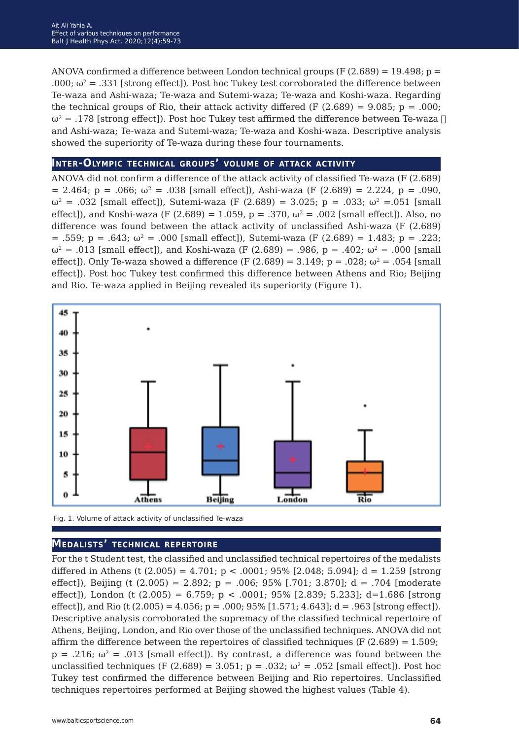ANOVA confirmed a difference between London technical groups  $(F(2.689) = 19.498; p =$ .000;  $\omega^2 = .331$  [strong effect]). Post hoc Tukey test corroborated the difference between Te-waza and Ashi-waza; Te-waza and Sutemi-waza; Te-waza and Koshi-waza. Regarding the technical groups of Rio, their attack activity differed (F  $(2.689) = 9.085$ ; p = .000;  $ω^2 = .178$  [strong effect]). Post hoc Tukey test affirmed the difference between Te-waza  $\Box$ and Ashi-waza; Te-waza and Sutemi-waza; Te-waza and Koshi-waza. Descriptive analysis showed the superiority of Te-waza during these four tournaments.

## **Inter-Olympic technical groups' volume of attack activity**

ANOVA did not confirm a difference of the attack activity of classified Te-waza (F (2.689)  $= 2.464$ ;  $p = .066$ ;  $\omega^2 = .038$  [small effect]), Ashi-waza (F (2.689) = 2.224, p = .090,  $ω^2 = .032$  [small effect]), Sutemi-waza (F (2.689) = 3.025; p = .033; ω<sup>2</sup> = .051 [small effect), and Koshi-waza (F (2.689) = 1.059, p = .370,  $\omega^2$  = .002 [small effect]). Also, no difference was found between the attack activity of unclassified Ashi-waza (F (2.689)  $= .559$ ;  $p = .643$ ;  $\omega^2 = .000$  [small effect]), Sutemi-waza (F (2.689) = 1.483; p = .223;  $ω^2 = .013$  [small effect]), and Koshi-waza (F (2.689) = .986, p = .402;  $ω^2 = .000$  [small effect]). Only Te-waza showed a difference (F  $(2.689) = 3.149$ ; p = .028;  $\omega^2 = .054$  [small effect]). Post hoc Tukey test confirmed this difference between Athens and Rio; Beijing and Rio. Te-waza applied in Beijing revealed its superiority (Figure 1).



Fig. 1. Volume of attack activity of unclassified Te-waza

### **Medalists' technical repertoire**

For the t Student test, the classified and unclassified technical repertoires of the medalists differed in Athens (t  $(2.005) = 4.701$ ;  $p < .0001$ ; 95% [2.048; 5.094];  $d = 1.259$  [strong effect]), Beijing (t  $(2.005) = 2.892$ ; p = .006; 95% [.701; 3.870]; d = .704 [moderate effect]), London (t  $(2.005) = 6.759$ ; p < .0001; 95% [2.839; 5.233]; d=1.686 [strong] effect]), and Rio (t (2.005) = 4.056; p = .000; 95% [1.571; 4.643]; d = .963 [strong effect]). Descriptive analysis corroborated the supremacy of the classified technical repertoire of Athens, Beijing, London, and Rio over those of the unclassified techniques. ANOVA did not affirm the difference between the repertoires of classified techniques (F  $(2.689) = 1.509$ ;  $p = .216$ ;  $\omega^2 = .013$  [small effect]). By contrast, a difference was found between the unclassified techniques (F (2.689) = 3.051; p = .032;  $\omega^2$  = .052 [small effect]). Post hoc Tukey test confirmed the difference between Beijing and Rio repertoires. Unclassified techniques repertoires performed at Beijing showed the highest values (Table 4).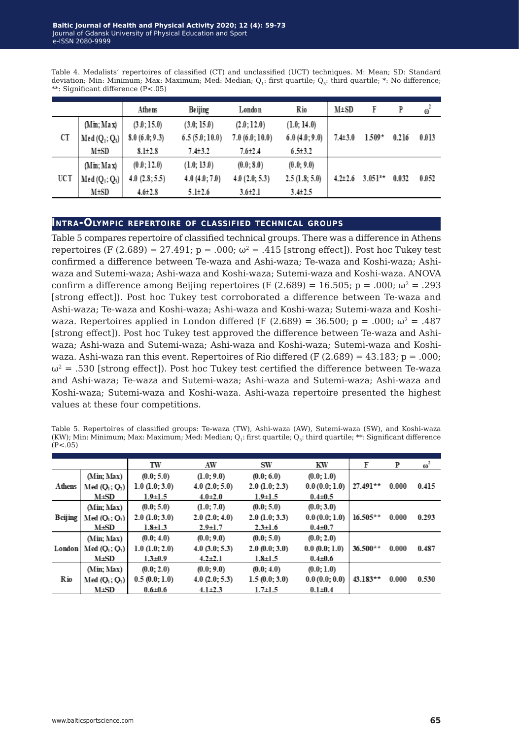Table 4. Medalists' repertoires of classified (CT) and unclassified (UCT) techniques. M: Mean; SD: Standard deviation; Min: Minimum; Max: Maximum; Med: Median; Q<sub>1</sub>: first quartile; Q<sub>2</sub>: third quartile; \*: No difference; \*\*: Significant difference (P<.05)

|     |                                       | Athens        | <b>Beijing</b> | London        | Rio           | $M \pm SD$    | F         | P     | $\omega$ |
|-----|---------------------------------------|---------------|----------------|---------------|---------------|---------------|-----------|-------|----------|
|     | (Min; Max)                            | (3.0; 15.0)   | (3.0; 15.0)    | (2.0; 12.0)   | (1.0; 14.0)   |               |           |       |          |
| CT  | $Med(Q_1; Q_3)$                       | 8.0(6.0; 9.3) | 6.5(5.0;10.0)  | 7.0(6.0;10.0) | 6.0(4.0; 9.0) | $7.4 \pm 3.0$ | $1.509*$  | 0.216 | 0.013    |
|     | M±SD                                  | $8.1 \pm 2.8$ | $7.4 \pm 3.2$  | $7.6{\pm}2.4$ | $6.5 \pm 3.2$ |               |           |       |          |
|     | (Min; Max)                            | (0.0; 12.0)   | (1.0; 13.0)    | (0.0; 8.0)    | (0.0; 9.0)    |               |           |       |          |
| UCT | Med(Q <sub>1</sub> ; Q <sub>3</sub> ) | 4.0(2.8; 5.5) | 4.0(4.0; 7.0)  | 4.0(2.0; 5.3) | 2.5(1.8; 5.0) | $4.2 \pm 2.6$ | $3.051**$ | 0.032 | 0.052    |
|     | M±SD                                  | $4.6 \pm 2.8$ | $5.1\pm 2.6$   | $3.6 \pm 2.1$ | $3.4 \pm 2.5$ |               |           |       |          |

#### **Intra-Olympic repertoire of classified technical groups**

Table 5 compares repertoire of classified technical groups. There was a difference in Athens repertoires (F (2.689) = 27.491;  $p = .000$ ;  $\omega^2 = .415$  [strong effect]). Post hoc Tukey test confirmed a difference between Te-waza and Ashi-waza; Te-waza and Koshi-waza; Ashiwaza and Sutemi-waza; Ashi-waza and Koshi-waza; Sutemi-waza and Koshi-waza. ANOVA confirm a difference among Beijing repertoires (F (2.689) = 16.505; p = .000;  $\omega^2$  = .293 [strong effect]). Post hoc Tukey test corroborated a difference between Te-waza and Ashi-waza; Te-waza and Koshi-waza; Ashi-waza and Koshi-waza; Sutemi-waza and Koshiwaza. Repertoires applied in London differed (F  $(2.689) = 36.500$ ; p = .000;  $\omega^2 = .487$ [strong effect]). Post hoc Tukey test approved the difference between Te-waza and Ashiwaza; Ashi-waza and Sutemi-waza; Ashi-waza and Koshi-waza; Sutemi-waza and Koshiwaza. Ashi-waza ran this event. Repertoires of Rio differed (F  $(2.689) = 43.183$ ; p = .000;  $\omega^2$  = .530 [strong effect]). Post hoc Tukey test certified the difference between Te-waza and Ashi-waza; Te-waza and Sutemi-waza; Ashi-waza and Sutemi-waza; Ashi-waza and Koshi-waza; Sutemi-waza and Koshi-waza. Ashi-waza repertoire presented the highest values at these four competitions.

Table 5. Repertoires of classified groups: Te-waza (TW), Ashi-waza (AW), Sutemi-waza (SW), and Koshi-waza (KW); Min: Minimum; Max: Maximum; Med: Median;  $Q_1$ : first quartile;  $Q_3$ : third quartile; \*\*: Significant difference  $(P < .05)$ 

|         |                                       | TW                 | AW             | <b>SW</b>           | KW            | F          | P     | $\omega^2$ |
|---------|---------------------------------------|--------------------|----------------|---------------------|---------------|------------|-------|------------|
|         | (Min; Max)                            | (0.0; 5.0)         | (1.0; 9.0)     | (0.0; 6.0)          | (0.0; 1.0)    |            |       |            |
| Athens  | Med(O <sub>1</sub> ; O <sub>2</sub> ) | $1.0 \ (1.0; 3.0)$ | 4.0 (2.0; 5.0) | $2.0 \ (1.0; 2.3)$  | 0.0(0.0; 1.0) | $27.491**$ | 0.000 | 0.415      |
|         | M±SD                                  | $1.9 \pm 1.5$      | $4.0 \pm 2.0$  | $1.9 \pm 1.5$       | $0.4 \pm 0.5$ |            |       |            |
|         | (Min; Max)                            | (0.0; 5.0)         | (1.0; 7.0)     | (0.0; 5.0)          | (0.0; 3.0)    |            |       |            |
| Beijing | Med(O <sub>1</sub> ; O <sub>3</sub> ) | 2.0 (1.0; 3.0)     | 2.0 (2.0; 4.0) | $2.0 \, (1.0; 3.3)$ | 0.0(0.0; 1.0) | $16.505**$ | 0.000 | 0.293      |
|         | M±SD                                  | $1.8 \pm 1.3$      | $2.9 \pm 1.7$  | $2.3 \pm 1.6$       | $0.4 \pm 0.7$ |            |       |            |
|         | (Min; Max)                            | (0.0; 4.0)         | (0.0; 9.0)     | (0.0; 5.0)          | (0.0; 2.0)    |            |       |            |
| London  | Med $(Q_1, Q_3)$                      | $1.0 \ (1.0; 2.0)$ | 4.0(3.0; 5.3)  | 2.0(0.0; 3.0)       | 0.0(0.0; 1.0) | $36.500**$ | 0.000 | 0.487      |
|         | <b>M</b> ±SD                          | $1.3 \pm 0.9$      | $4.2 \pm 2.1$  | $1.8 \pm 1.5$       | $0.4 \pm 0.6$ |            |       |            |
| Rio     | (Min; Max)                            | (0.0; 2.0)         | (0.0; 9.0)     | (0.0; 4.0)          | (0.0; 1.0)    |            |       |            |
|         | Med(O <sub>1</sub> ; O <sub>3</sub> ) | 0.5(0.0; 1.0)      | 4.0 (2.0; 5.3) | 1.5(0.0; 3.0)       | 0.0(0.0;0.0)  | $43.183**$ | 0.000 | 0.530      |
|         | <b>M</b> <sup>+</sup> SD              | $0.6 + 0.6$        | $4.1 \pm 2.3$  | $1.7 \pm 1.5$       | $0.1 + 0.4$   |            |       |            |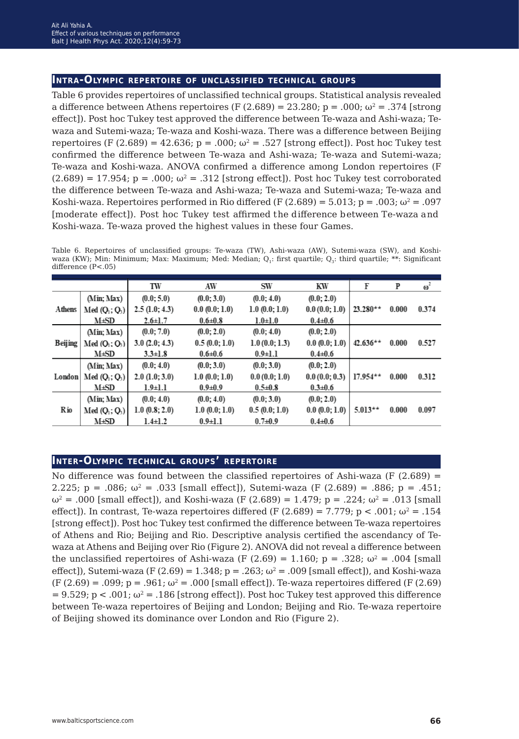## **Intra-Olympic repertoire of unclassified technical groups**

Table 6 provides repertoires of unclassified technical groups. Statistical analysis revealed a difference between Athens repertoires (F (2.689) = 23.280; p = .000;  $\omega^2$  = .374 [strong] effect]). Post hoc Tukey test approved the difference between Te-waza and Ashi-waza; Tewaza and Sutemi-waza; Te-waza and Koshi-waza. There was a difference between Beijing repertoires (F (2.689) = 42.636; p = .000;  $\omega^2$  = .527 [strong effect]). Post hoc Tukey test confirmed the difference between Te-waza and Ashi-waza; Te-waza and Sutemi-waza; Te-waza and Koshi-waza. ANOVA confirmed a difference among London repertoires (F  $(2.689) = 17.954$ ; p = .000;  $\omega^2 = .312$  [strong effect]). Post hoc Tukey test corroborated the difference between Te-waza and Ashi-waza; Te-waza and Sutemi-waza; Te-waza and Koshi-waza. Repertoires performed in Rio differed (F  $(2.689) = 5.013$ ; p = .003;  $\omega^2 = .097$ [moderate effect]). Post hoc Tukey test affirmed the difference between Te-waza and Koshi-waza. Te-waza proved the highest values in these four Games.

Table 6. Repertoires of unclassified groups: Te-waza (TW), Ashi-waza (AW), Sutemi-waza (SW), and Koshiwaza (KW); Min: Minimum; Max: Maximum; Med: Median; Q<sub>1</sub>: first quartile; Q<sub>3</sub>: third quartile; \*\*: Significant difference (P<.05)

|                |                                       | TW                  | AW                 | SW                 | KW            | F          | P     | $\omega^2$ |
|----------------|---------------------------------------|---------------------|--------------------|--------------------|---------------|------------|-------|------------|
|                | (Min; Max)                            | (0.0; 5.0)          | (0.0; 3.0)         | (0.0; 4.0)         | (0.0; 2.0)    |            |       |            |
| Athens         | Med $(Q_1, Q_3)$                      | 2.5(1.0; 4.3)       | 0.0(0.0; 1.0)      | $1.0 \ (0.0; 1.0)$ | 0.0(0.0; 1.0) | $23.280**$ | 0.000 | 0.374      |
|                | M±SD                                  | $2.6 \pm 1.7$       | $0.6 + 0.8$        | $1.0 + 1.0$        | $0.4 \pm 0.6$ |            |       |            |
|                | (Min; Max)                            | (0.0; 7.0)          | (0.0; 2.0)         | (0.0; 4.0)         | (0.0; 2.0)    |            |       |            |
| <b>Beijing</b> | Med(0 <sub>1</sub> ; 0 <sub>3</sub> ) | 3.0(2.0; 4.3)       | 0.5(0.0; 1.0)      | 1.0(0.0; 1.3)      | 0.0(0.0; 1.0) | $42.636**$ | 0.000 | 0.527      |
|                | M±SD                                  | $3.3 \pm 1.8$       | $0.6 + 0.6$        | $0.9 \pm 1.1$      | $0.4 \pm 0.6$ |            |       |            |
|                | (Min; Max)                            | (0.0; 4.0)          | (0.0; 3.0)         | (0.0; 3.0)         | (0.0; 2.0)    |            |       |            |
| London         | $Med(Q_1; Q_2)$                       | $2.0 \, (1.0; 3.0)$ | $1.0 \ (0.0; 1.0)$ | 0.0(0.0; 1.0)      | 0.0(0.0; 0.3) | $17.954**$ | 0.000 | 0.312      |
|                | M±SD                                  | $1.9 \pm 1.1$       | $0.9 + 0.9$        | $0.5 \pm 0.8$      | $0.3 + 0.6$   |            |       |            |
| Rio            | (Min; Max)                            | (0.0; 4.0)          | (0.0; 4.0)         | (0.0; 3.0)         | (0.0; 2.0)    |            |       |            |
|                | Med(Q <sub>1</sub> ; Q <sub>3</sub> ) | 1.0(0.8; 2.0)       | $1.0 \ (0.0; 1.0)$ | 0.5(0.0; 1.0)      | 0.0(0.0; 1.0) | $5.013**$  | 0.000 | 0.097      |
|                | M±SD                                  | $1.4 \pm 1.2$       | $0.9 \pm 1.1$      | $0.7 + 0.9$        | $0.4 \pm 0.6$ |            |       |            |

## **Inter-Olympic technical groups' repertoire**

No difference was found between the classified repertoires of Ashi-waza (F  $(2.689)$  = 2.225; p = .086;  $\omega^2$  = .033 [small effect]), Sutemi-waza (F (2.689) = .886; p = .451;  $ω^2 = .000$  [small effect]), and Koshi-waza (F (2.689) = 1.479; p = .224;  $ω^2 = .013$  [small effect). In contrast, Te-waza repertoires differed (F (2.689) = 7.779; p < .001;  $\omega^2$  = .154 [strong effect]). Post hoc Tukey test confirmed the difference between Te-waza repertoires of Athens and Rio; Beijing and Rio. Descriptive analysis certified the ascendancy of Tewaza at Athens and Beijing over Rio (Figure 2). ANOVA did not reveal a difference between the unclassified repertoires of Ashi-waza (F (2.69) = 1.160;  $p = .328$ ;  $\omega^2 = .004$  [small effect]), Sutemi-waza (F (2.69) = 1.348;  $p = .263$ ;  $\omega^2 = .009$  [small effect]), and Koshi-waza  $(F (2.69) = .099; p = .961; \omega^2 = .000$  [small effect]). Te-waza repertoires differed (F (2.69)  $= 9.529$ ; p < .001;  $\omega^2 = .186$  [strong effect]). Post hoc Tukey test approved this difference between Te-waza repertoires of Beijing and London; Beijing and Rio. Te-waza repertoire of Beijing showed its dominance over London and Rio (Figure 2).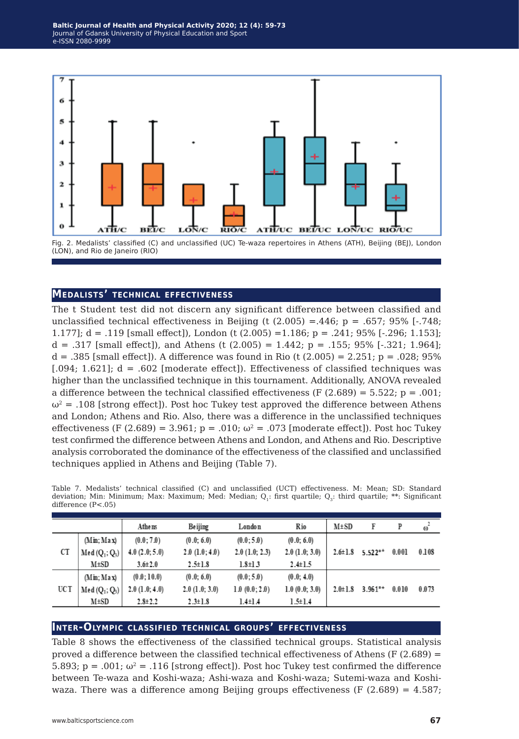

## **Medalists' technical effectiveness**

The t Student test did not discern any significant difference between classified and unclassified technical effectiveness in Beijing (t  $(2.005) = .446$ ; p = .657; 95% [ $-.748$ ; 1.177]; d = .119 [small effect]), London (t (2.005) =1.186; p = .241; 95% [-.296; 1.153];  $d = .317$  [small effect]), and Athens (t (2.005) = 1.442; p = .155; 95% [-.321; 1.964]; d = .385 [small effect]). A difference was found in Rio (t (2.005) = 2.251; p = .028; 95%  $[0.094; 1.621]$ ; d = .602 [moderate effect]). Effectiveness of classified techniques was higher than the unclassified technique in this tournament. Additionally, ANOVA revealed a difference between the technical classified effectiveness (F  $(2.689) = 5.522$ ; p = .001;  $\omega^2$  = .108 [strong effect]). Post hoc Tukey test approved the difference between Athens and London; Athens and Rio. Also, there was a difference in the unclassified techniques effectiveness (F (2.689) = 3.961; p = .010;  $\omega^2$  = .073 [moderate effect]). Post hoc Tukey test confirmed the difference between Athens and London, and Athens and Rio. Descriptive analysis corroborated the dominance of the effectiveness of the classified and unclassified techniques applied in Athens and Beijing (Table 7).

|      |                                       | Athens        | Beijing       | London        | Rio                | $M \pm SD$    | F         | P     | $\omega$ <sup>*</sup> |
|------|---------------------------------------|---------------|---------------|---------------|--------------------|---------------|-----------|-------|-----------------------|
|      | (Min; Max)                            | (0.0; 7.0)    | (0.0; 6.0)    | (0.0; 5.0)    | (0.0; 6.0)         |               |           |       |                       |
| CT   | $Med(Q_1; Q_3)$                       | 4.0(2.0; 5.0) | 2.0(1.0; 4.0) | 2.0(1.0; 2.3) | $2.0$ $(1.0; 3.0)$ | $2.6 \pm 1.8$ | $5.522**$ | 0.001 | 0.108                 |
|      | M±SD                                  | $3.6 \pm 2.0$ | $2.5 \pm 1.8$ | $1.8 \pm 1.3$ | $2.4 \pm 1.5$      |               |           |       |                       |
| UC T | (Min; Max)                            | (0.0; 10.0)   | (0.0; 6.0)    | (0.0; 5.0)    | (0.0; 4.0)         |               |           |       |                       |
|      | Med(Q <sub>1</sub> ; Q <sub>3</sub> ) | 2.0(1.0; 4.0) | 2.0(1.0; 3.0) | 1.0(0.0; 2.0) | 1.0(0.0; 3.0)      | $2.0 \pm 1.8$ | $3.961**$ | 0.010 | 0.073                 |
|      | M±SD                                  | $2.8 \pm 2.2$ | $2.3 \pm 1.8$ | 1.4±1.4       | $1.5 \pm 1.4$      |               |           |       |                       |

Table 7. Medalists' technical classified (C) and unclassified (UCT) effectiveness. M: Mean; SD: Standard deviation; Min: Minimum; Max: Maximum; Med: Median; Q<sub>1</sub>: first quartile; Q<sub>3</sub>: third quartile; \*\*: Significant difference (P<.05)

### **Inter-Olympic classified technical groups' effectiveness**

Table 8 shows the effectiveness of the classified technical groups. Statistical analysis proved a difference between the classified technical effectiveness of Athens (F  $(2.689)$  = 5.893; p = .001;  $\omega^2$  = .116 [strong effect]). Post hoc Tukey test confirmed the difference between Te-waza and Koshi-waza; Ashi-waza and Koshi-waza; Sutemi-waza and Koshiwaza. There was a difference among Beijing groups effectiveness (F  $(2.689) = 4.587$ ;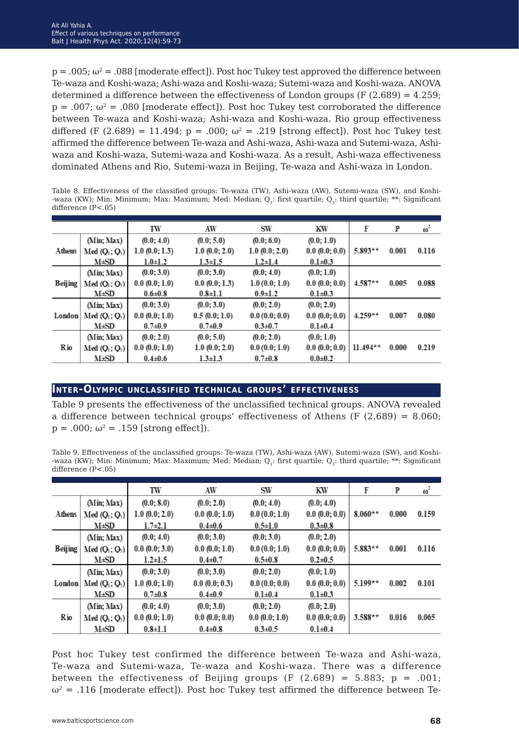$p = .005$ ;  $\omega^2 = .088$  [moderate effect]). Post hoc Tukey test approved the difference between Te-waza and Koshi-waza; Ashi-waza and Koshi-waza; Sutemi-waza and Koshi-waza. ANOVA determined a difference between the effectiveness of London groups  $(F(2.689) = 4.259;$  $p = .007$ ;  $\omega^2 = .080$  [moderate effect]). Post hoc Tukey test corroborated the difference between Te-waza and Koshi-waza; Ashi-waza and Koshi-waza. Rio group effectiveness differed (F (2.689) = 11.494; p = .000;  $\omega^2$  = .219 [strong effect]). Post hoc Tukey test affirmed the difference between Te-waza and Ashi-waza, Ashi-waza and Sutemi-waza, Ashiwaza and Koshi-waza, Sutemi-waza and Koshi-waza. As a result, Ashi-waza effectiveness dominated Athens and Rio, Sutemi-waza in Beijing, Te-waza and Ashi-waza in London.

Table 8. Effectiveness of the classified groups: Te-waza (TW), Ashi-waza (AW), Sutemi-waza (SW), and Koshi- -waza (KW); Min: Minimum; Max: Maximum; Med: Median; Q<sub>1</sub>: first quartile; Q<sub>2</sub>: third quartile; \*\*: Significant difference (P<.05)

|             |                                       | TW            | AW                 | <b>SW</b>     | KW           | F          | P     | $\omega^2$ |
|-------------|---------------------------------------|---------------|--------------------|---------------|--------------|------------|-------|------------|
|             | (Min; Max)                            | (0.0; 4.0)    | (0.0; 5.0)         | (0.0; 6.0)    | (0.0; 1.0)   |            |       |            |
| Athens      | $Med(Q_1; Q_2)$                       | 1.0(0.0; 1.3) | 1.0(0.0; 2.0)      | 1.0(0.0; 2.0) | 0.0(0.0;0.0) | $5.893**$  | 0.001 | 0.116      |
|             | M±SD                                  | $1.0 + 1.2$   | $1.3 \pm 1.5$      | $1.2 \pm 1.4$ | $0.1 + 0.3$  |            |       |            |
|             | (Min; Max)                            | (0.0; 3.0)    | (0.0; 3.0)         | (0.0; 4.0)    | (0.0; 1.0)   |            |       |            |
| Beijing     | Med(O <sub>1</sub> ; O <sub>3</sub> ) | 0.0(0.0; 1.0) | 0.0(0.0; 1.3)      | 1.0(0.0; 1.0) | 0.0(0.0;0.0) | $4.587**$  | 0.005 | 0.088      |
|             | M±SD                                  | $0.6 + 0.8$   | $0.8 \pm 1.1$      | $0.9 \pm 1.2$ | $0.1 + 0.3$  |            |       |            |
|             | (Min; Max)                            | (0.0; 3.0)    | (0.0; 3.0)         | (0.0; 2.0)    | (0.0; 2.0)   |            |       |            |
| London      | $Med(Q_1; Q_2)$                       | 0.0(0.0; 1.0) | 0.5(0.0; 1.0)      | 0.0(0.0;0.0)  | 0.0(0.0;0.0) | $4.259**$  | 0.007 | 0.080      |
|             | M±SD                                  | $0.7 + 0.9$   | $0.7 + 0.9$        | $0.3 + 0.7$   | $0.1 + 0.4$  |            |       |            |
| <b>R</b> io | (Min: Max)                            | (0.0; 2.0)    | (0.0; 5.0)         | (0.0; 2.0)    | (0.0; 1.0)   |            |       |            |
|             | $Med(Q_1; Q_3)$                       | 0.0(0.0; 1.0) | $1.0 \ (0.0; 2.0)$ | 0.0(0.0; 1.0) | 0.0(0.0;0.0) | $11.494**$ | 0.000 | 0.219      |
|             | M±SD                                  | $0.4 \pm 0.6$ | $1.3 \pm 1.3$      | $0.7 + 0.8$   | $0.0 + 0.2$  |            |       |            |

### **Inter-Olympic unclassified technical groups' effectiveness**

Table 9 presents the effectiveness of the unclassified technical groups. ANOVA revealed a difference between technical groups' effectiveness of Athens (F  $(2.689) = 8.060$ ;  $p = .000$ ;  $\omega^2 = .159$  [strong effect]).

Table 9. Effectiveness of the unclassified groups: Te-waza (TW), Ashi-waza (AW), Sutemi-waza (SW), and Koshi- -waza (KW); Min: Minimum; Max: Maximum; Med: Median; Q<sub>1</sub>: first quartile; Q<sub>3</sub>: third quartile; \*\*: Significant difference (P<.05)

|                |                                       | TW                 | AW            | SW            | KW           | F         | P     | $\omega^2$ |
|----------------|---------------------------------------|--------------------|---------------|---------------|--------------|-----------|-------|------------|
|                | (Min; Max)                            | (0.0; 8.0)         | (0.0; 2.0)    | (0.0; 4.0)    | (0.0; 4.0)   |           |       |            |
| Athens         | $Med(Q_1; Q_3)$                       | $1.0 \ (0.0; 2.0)$ | 0.0(0.0; 1.0) | 0.0(0.0; 1.0) | 0.0(0.0;0.0) | $8.060**$ | 0.000 | 0.159      |
|                | M±SD                                  | $1.7\pm 2.1$       | $0.4 \pm 0.6$ | $0.5 \pm 1.0$ | $0.3 + 0.8$  |           |       |            |
|                | (Min; Max)                            | (0.0; 4.0)         | (0.0; 3.0)    | (0.0; 3.0)    | (0.0; 2.0)   |           |       |            |
| <b>Beijing</b> | Med(O <sub>1</sub> ; O <sub>3</sub> ) | 0.0(0.0; 3.0)      | 0.0(0.0; 1.0) | 0.0(0.0; 1.0) | 0.0(0.0;0.0) | $5.883**$ | 0.001 | 0.116      |
|                | <b>M±SD</b>                           | $1.2 \pm 1.5$      | $0.4 \pm 0.7$ | $0.5 \pm 0.8$ | $0.2 + 0.5$  |           |       |            |
|                | (Min; Max)                            | (0.0; 3.0)         | (0.0; 3.0)    | (0.0; 2.0)    | (0.0; 1.0)   |           |       |            |
| London         | Med(0, Q)                             | $1.0 \ (0.0; 1.0)$ | 0.0(0.0; 0.3) | 0.0(0.0;0.0)  | 0.0(0.0;0.0) | $5.199**$ | 0.002 | 0.101      |
|                | M±SD                                  | $0.7 + 0.8$        | $0.4 \pm 0.9$ | $0.1 + 0.4$   | $0.1 + 0.3$  |           |       |            |
|                | (Min; Max)                            | (0.0; 4.0)         | (0.0; 3.0)    | (0.0; 2.0)    | (0.0; 2.0)   |           |       |            |
| Rio            | $Med(Q_1; Q_3)$                       | 0.0(0.0; 1.0)      | 0.0(0.0;0.0)  | 0.0(0.0; 1.0) | 0.0(0.0;0.0) | $3.588**$ | 0.016 | 0.065      |
|                | M±SD                                  | $0.8 \pm 1.1$      | $0.4 \pm 0.8$ | $0.3 + 0.5$   | $0.1 + 0.4$  |           |       |            |

Post hoc Tukey test confirmed the difference between Te-waza and Ashi-waza, Te-waza and Sutemi-waza, Te-waza and Koshi-waza. There was a difference between the effectiveness of Beijing groups (F  $(2.689) = 5.883$ ; p = .001;  $\omega^2$  = .116 [moderate effect]). Post hoc Tukey test affirmed the difference between Te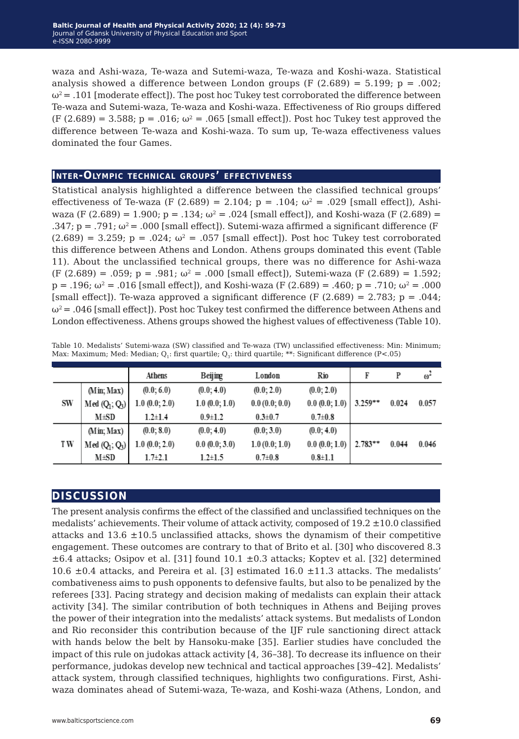waza and Ashi-waza, Te-waza and Sutemi-waza, Te-waza and Koshi-waza. Statistical analysis showed a difference between London groups (F  $(2.689) = 5.199$ ; p = .002;  $\omega^2$  = .101 [moderate effect]). The post hoc Tukey test corroborated the difference between Te-waza and Sutemi-waza, Te-waza and Koshi-waza. Effectiveness of Rio groups differed  $(F (2.689) = 3.588; p = .016; \omega^2 = .065$  [small effect]). Post hoc Tukey test approved the difference between Te-waza and Koshi-waza. To sum up, Te-waza effectiveness values dominated the four Games.

## **Inter-Olympic technical groups' effectiveness**

Statistical analysis highlighted a difference between the classified technical groups' effectiveness of Te-waza (F (2.689) = 2.104;  $p = .104$ ;  $\omega^2 = .029$  [small effect]), Ashiwaza (F (2.689) = 1.900;  $p = 0.134$ ;  $\omega^2 = 0.024$  [small effect]), and Koshi-waza (F (2.689) = .347;  $p = .791$ ;  $\omega^2 = .000$  [small effect]). Sutemi-waza affirmed a significant difference (F  $(2.689) = 3.259$ ; p = .024;  $\omega^2 = .057$  [small effect]). Post hoc Tukey test corroborated this difference between Athens and London. Athens groups dominated this event (Table 11). About the unclassified technical groups, there was no difference for Ashi-waza (F (2.689) = .059; p = .981;  $\omega^2$  = .000 [small effect]), Sutemi-waza (F (2.689) = 1.592;  $p = .196$ ;  $\omega^2 = .016$  [small effect]), and Koshi-waza (F (2.689) = .460;  $p = .710$ ;  $\omega^2 = .000$ [small effect]). Te-waza approved a significant difference (F  $(2.689) = 2.783$ ; p = .044;  $\omega^2$  = .046 [small effect]). Post hoc Tukey test confirmed the difference between Athens and London effectiveness. Athens groups showed the highest values of effectiveness (Table 10).

|  |  |  |  | Table 10. Medalists' Sutemi-waza (SW) classified and Te-waza (TW) unclassified effectiveness: Min: Minimum; |  |
|--|--|--|--|-------------------------------------------------------------------------------------------------------------|--|
|  |  |  |  | Max: Maximum; Med: Median; Q,: first quartile; Q,: third quartile; **: Significant difference (P<.05)       |  |

|     |                 | Athens             | Beijing       | London        | Rio           | F         | P     | $\omega^2$ |
|-----|-----------------|--------------------|---------------|---------------|---------------|-----------|-------|------------|
|     | (Min; Max)      | (0.0; 6.0)         | (0.0; 4.0)    | (0.0; 2.0)    | (0.0; 2.0)    |           |       |            |
| SW  | $Med(Q_1; Q_3)$ | 1.0(0.0; 2.0)      | 1.0(0.0; 1.0) | 0.0(0.0; 0.0) | 0.0(0.0;1.0)  | $3.259**$ | 0.024 | 0.057      |
|     | M±SD            | $1.2 \pm 1.4$      | $0.9 \pm 1.2$ | $0.3 \pm 0.7$ | $0.7 \pm 0.8$ |           |       |            |
|     | (Min; Max)      | (0.0; 8.0)         | (0.0; 4.0)    | (0.0; 3.0)    | (0.0; 4.0)    |           |       |            |
| T W | $Med(Q_1; Q_3)$ | $1.0 \ (0.0; 2.0)$ | 0.0(0.0; 3.0) | 1.0(0.0; 1.0) | 0.0(0.0;1.0)  | $2.783**$ | 0.044 | 0.046      |
|     | M±SD            | $1.7\pm 2.1$       | $1.2 \pm 1.5$ | $0.7 \pm 0.8$ | $0.8 + 1.1$   |           |       |            |

## **discussion**

The present analysis confirms the effect of the classified and unclassified techniques on the medalists' achievements. Their volume of attack activity, composed of  $19.2 \pm 10.0$  classified attacks and  $13.6 \pm 10.5$  unclassified attacks, shows the dynamism of their competitive engagement. These outcomes are contrary to that of Brito et al. [30] who discovered 8.3  $\pm 6.4$  attacks; Osipov et al. [31] found 10.1  $\pm 0.3$  attacks; Koptev et al. [32] determined 10.6  $\pm$ 0.4 attacks, and Pereira et al. [3] estimated 16.0  $\pm$ 11.3 attacks. The medalists' combativeness aims to push opponents to defensive faults, but also to be penalized by the referees [33]. Pacing strategy and decision making of medalists can explain their attack activity [34]. The similar contribution of both techniques in Athens and Beijing proves the power of their integration into the medalists' attack systems. But medalists of London and Rio reconsider this contribution because of the IJF rule sanctioning direct attack with hands below the belt by Hansoku-make [35]. Earlier studies have concluded the impact of this rule on judokas attack activity [4, 36*−*38]. To decrease its influence on their performance, judokas develop new technical and tactical approaches [39*−*42]. Medalists' attack system, through classified techniques, highlights two configurations. First, Ashiwaza dominates ahead of Sutemi-waza, Te-waza, and Koshi-waza (Athens, London, and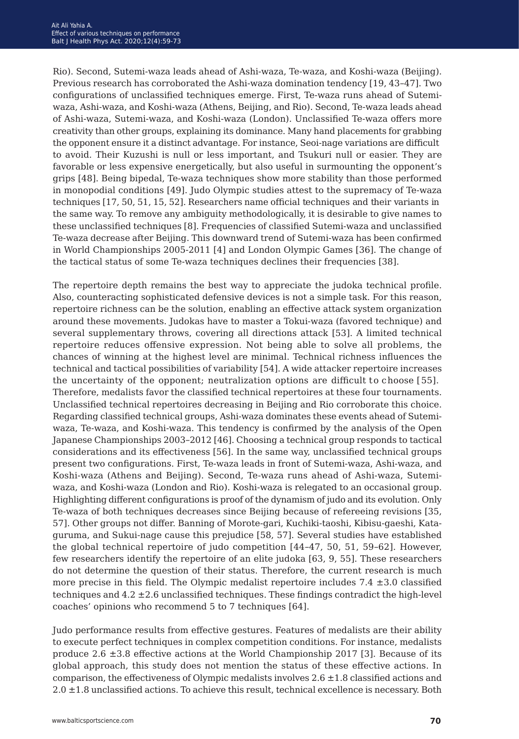Rio). Second, Sutemi-waza leads ahead of Ashi-waza, Te-waza, and Koshi-waza (Beijing). Previous research has corroborated the Ashi-waza domination tendency [19, 43*−*47]. Two configurations of unclassified techniques emerge. First, Te-waza runs ahead of Sutemiwaza, Ashi-waza, and Koshi-waza (Athens, Beijing, and Rio). Second, Te-waza leads ahead of Ashi-waza, Sutemi-waza, and Koshi-waza (London). Unclassified Te-waza offers more creativity than other groups, explaining its dominance. Many hand placements for grabbing the opponent ensure it a distinct advantage. For instance, Seoi-nage variations are difficult to avoid. Their Kuzushi is null or less important, and Tsukuri null or easier. They are favorable or less expensive energetically, but also useful in surmounting the opponent's grips [48]. Being bipedal, Te-waza techniques show more stability than those performed in monopodial conditions [49]. Judo Olympic studies attest to the supremacy of Te-waza techniques [17, 50, 51, 15, 52]. Researchers name official techniques and their variants in the same way. To remove any ambiguity methodologically, it is desirable to give names to these unclassified techniques [8]. Frequencies of classified Sutemi-waza and unclassified Te-waza decrease after Beijing. This downward trend of Sutemi-waza has been confirmed in World Championships 2005-2011 [4] and London Olympic Games [36]. The change of the tactical status of some Te-waza techniques declines their frequencies [38].

The repertoire depth remains the best way to appreciate the judoka technical profile. Also, counteracting sophisticated defensive devices is not a simple task. For this reason, repertoire richness can be the solution, enabling an effective attack system organization around these movements. Judokas have to master a Tokui-waza (favored technique) and several supplementary throws, covering all directions attack [53]. A limited technical repertoire reduces offensive expression. Not being able to solve all problems, the chances of winning at the highest level are minimal. Technical richness influences the technical and tactical possibilities of variability [54]. A wide attacker repertoire increases the uncertainty of the opponent; neutralization options are difficult to choose [55]. Therefore, medalists favor the classified technical repertoires at these four tournaments. Unclassified technical repertoires decreasing in Beijing and Rio corroborate this choice. Regarding classified technical groups, Ashi-waza dominates these events ahead of Sutemiwaza, Te-waza, and Koshi-waza. This tendency is confirmed by the analysis of the Open Japanese Championships 2003*−*2012 [46]. Choosing a technical group responds to tactical considerations and its effectiveness [56]. In the same way, unclassified technical groups present two configurations. First, Te-waza leads in front of Sutemi-waza, Ashi-waza, and Koshi-waza (Athens and Beijing). Second, Te-waza runs ahead of Ashi-waza, Sutemiwaza, and Koshi-waza (London and Rio). Koshi-waza is relegated to an occasional group. Highlighting different configurations is proof of the dynamism of judo and its evolution. Only Te-waza of both techniques decreases since Beijing because of refereeing revisions [35, 57]. Other groups not differ. Banning of Morote-gari, Kuchiki-taoshi, Kibisu-gaeshi, Kataguruma, and Sukui-nage cause this prejudice [58, 57]. Several studies have established the global technical repertoire of judo competition [44*−*47, 50, 51, 59*−*62]. However, few researchers identify the repertoire of an elite judoka [63, 9, 55]. These researchers do not determine the question of their status. Therefore, the current research is much more precise in this field. The Olympic medalist repertoire includes  $7.4 \pm 3.0$  classified techniques and  $4.2 \pm 2.6$  unclassified techniques. These findings contradict the high-level coaches' opinions who recommend 5 to 7 techniques [64].

Judo performance results from effective gestures. Features of medalists are their ability to execute perfect techniques in complex competition conditions. For instance, medalists produce 2.6 ±3.8 effective actions at the World Championship 2017 [3]. Because of its global approach, this study does not mention the status of these effective actions. In comparison, the effectiveness of Olympic medalists involves  $2.6 \pm 1.8$  classified actions and  $2.0 \pm 1.8$  unclassified actions. To achieve this result, technical excellence is necessary. Both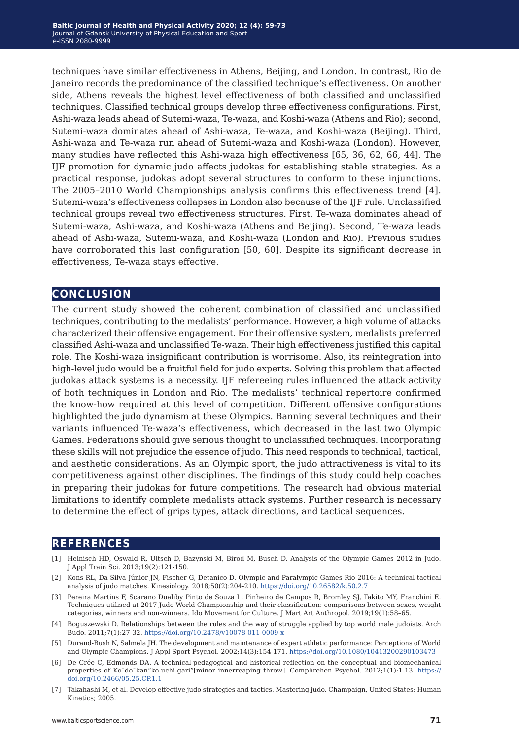techniques have similar effectiveness in Athens, Beijing, and London. In contrast, Rio de Janeiro records the predominance of the classified technique's effectiveness. On another side, Athens reveals the highest level effectiveness of both classified and unclassified techniques. Classified technical groups develop three effectiveness configurations. First, Ashi-waza leads ahead of Sutemi-waza, Te-waza, and Koshi-waza (Athens and Rio); second, Sutemi-waza dominates ahead of Ashi-waza, Te-waza, and Koshi-waza (Beijing). Third, Ashi-waza and Te-waza run ahead of Sutemi-waza and Koshi-waza (London). However, many studies have reflected this Ashi-waza high effectiveness [65, 36, 62, 66, 44]. The IJF promotion for dynamic judo affects judokas for establishing stable strategies. As a practical response, judokas adopt several structures to conform to these injunctions. The 2005–2010 World Championships analysis confirms this effectiveness trend [4]. Sutemi-waza's effectiveness collapses in London also because of the IJF rule. Unclassified technical groups reveal two effectiveness structures. First, Te-waza dominates ahead of Sutemi-waza, Ashi-waza, and Koshi-waza (Athens and Beijing). Second, Te-waza leads ahead of Ashi-waza, Sutemi-waza, and Koshi-waza (London and Rio). Previous studies have corroborated this last configuration [50, 60]. Despite its significant decrease in effectiveness, Te-waza stays effective.

## **conclusion**

The current study showed the coherent combination of classified and unclassified techniques, contributing to the medalists' performance. However, a high volume of attacks characterized their offensive engagement. For their offensive system, medalists preferred classified Ashi-waza and unclassified Te-waza. Their high effectiveness justified this capital role. The Koshi-waza insignificant contribution is worrisome. Also, its reintegration into high-level judo would be a fruitful field for judo experts. Solving this problem that affected judokas attack systems is a necessity. IJF refereeing rules influenced the attack activity of both techniques in London and Rio. The medalists' technical repertoire confirmed the know-how required at this level of competition. Different offensive configurations highlighted the judo dynamism at these Olympics. Banning several techniques and their variants influenced Te-waza's effectiveness, which decreased in the last two Olympic Games. Federations should give serious thought to unclassified techniques. Incorporating these skills will not prejudice the essence of judo. This need responds to technical, tactical, and aesthetic considerations. As an Olympic sport, the judo attractiveness is vital to its competitiveness against other disciplines. The findings of this study could help coaches in preparing their judokas for future competitions. The research had obvious material limitations to identify complete medalists attack systems. Further research is necessary to determine the effect of grips types, attack directions, and tactical sequences.

## **references**

- [1] Heinisch HD, Oswald R, Ultsch D, Bazynski M, Birod M, Busch D. Analysis of the Olympic Games 2012 in Judo. J Appl Train Sci. 2013;19(2):121-150.
- [2] Kons RL, Da Silva Júnior JN, Fischer G, Detanico D. Olympic and Paralympic Games Rio 2016: A technical-tactical analysis of judo matches. Kinesiology. 2018;50(2):204-210. <https://doi.org/10.26582/k.50.2.7>
- [3] Pereira Martins F, Scarano Dualiby Pinto de Souza L, Pinheiro de Campos R, Bromley SJ, Takito MY, Franchini E. Techniques utilised at 2017 Judo World Championship and their classification: comparisons between sexes, weight categories, winners and non-winners. Ido Movement for Culture. J Mart Art Anthropol. 2019;19(1):58–65.
- [4] Boguszewski D. Relationships between the rules and the way of struggle applied by top world male judoists. Arch Budo. 2011;7(1):27-32. <https://doi.org/10.2478/v10078-011-0009-x>
- [5] Durand-Bush N, Salmela JH. The development and maintenance of expert athletic performance: Perceptions of World and Olympic Champions. J Appl Sport Psychol. 2002;14(3):154-171.<https://doi.org/10.1080/10413200290103473>
- [6] De Crée C, Edmonds DA. A technical-pedagogical and historical reflection on the conceptual and biomechanical properties of Ko¯do¯kan"ko-uchi-gari"[minor innerreaping throw]. Comphrehen Psychol. 2012;1(1):1-13. [https://](https://doi.org/10.2466/05.25.CP.1.1) [doi.org/10.2466/05.25.CP.1.1](https://doi.org/10.2466/05.25.CP.1.1)
- [7] Takahashi M, et al. Develop effective judo strategies and tactics. Mastering judo. Champaign, United States: Human Kinetics; 2005.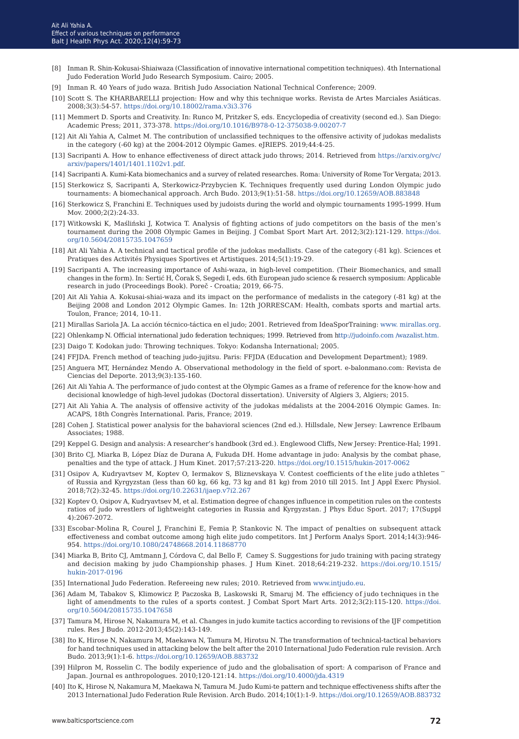- [8] Inman R. Shin-Kokusai-Shiaiwaza (Classification of innovative international competition techniques). 4th International Judo Federation World Judo Research Symposium. Cairo; 2005.
- [9] Inman R. 40 Years of judo waza. British Judo Association National Technical Conference; 2009.
- [10] Scott S. The KHARBARELLI projection: How and why this technique works. Revista de Artes Marciales Asiáticas. 2008;3(3):54-57.<https://doi.org/10.18002/rama.v3i3.376>
- [11] Memmert D. Sports and Creativity. In: Runco M, Pritzker S, eds. Encyclopedia of creativity (second ed.). San Diego: Academic Press; 2011, 373-378.<https://doi.org/10.1016/B978-0-12-375038-9.00207-7>
- [12] Ait Ali Yahia A, Calmet M. The contribution of unclassified techniques to the offensive activity of judokas medalists in the category (-60 kg) at the 2004-2012 Olympic Games. eJRIEPS. 2019;44:4-25.
- [13] Sacripanti A. How to enhance effectiveness of direct attack judo throws; 2014. Retrieved from [https://arxiv.org/vc/](https://arxiv.org/vc/arxiv/papers/1401/1401.1102v1.pdf) [arxiv/papers/1401/1401.1102v1.pdf](https://arxiv.org/vc/arxiv/papers/1401/1401.1102v1.pdf).
- [14] Sacripanti A. Kumi-Kata biomechanics and a survey of related researches. Roma: University of Rome Tor Vergata; 2013.
- [15] Sterkowicz S, Sacripanti A, Sterkowicz-Przybycien K. Techniques frequently used during London Olympic judo tournaments: A biomechanical approach. Arch Budo. 2013;9(1):51-58. [https://doi.org/10.12659/AOB.883848](https://doi.org/10.12659/AOB.883848 )
- [16] Sterkowicz S, Franchini E. Techniques used by judoists during the world and olympic tournaments 1995-1999. Hum Mov. 2000;2(2):24-33.
- [17] Witkowski K, Maśliński J, Kotwica T. Analysis of fighting actions of judo competitors on the basis of the men's tournament during the 2008 Olympic Games in Beijing. J Combat Sport Mart Art. 2012;3(2):121-129. [https://doi.](https://doi.org/10.5604/20815735.1047659) [org/10.5604/20815735.1047659](https://doi.org/10.5604/20815735.1047659)
- [18] Ait Ali Yahia A. A technical and tactical profile of the judokas medallists. Case of the category (-81 kg). Sciences et Pratiques des Activités Physiques Sportives et Artistiques. 2014;5(1):19-29.
- [19] Sacripanti A. The increasing importance of Ashi-waza, in high-level competition. (Their Biomechanics, and small changes in the form). In: Sertić H, Čorak S, Segedi I, eds. 6th European judo science & resaerch symposium: Applicable research in judo (Proceedings Book). Poreč - Croatia; 2019, 66-75.
- [20] Ait Ali Yahia A. Kokusai-shiai-waza and its impact on the performance of medalists in the category (-81 kg) at the Beijing 2008 and London 2012 Olympic Games. In: 12th JORRESCAM: Health, combats sports and martial arts. Toulon, France; 2014, 10-11.
- [21] Mirallas Sariola JA. La acción técnico-táctica en el judo; 2001. Retrieved from IdeaSporTraining: [www. mirallas.org.](http://www. mirallas.org)
- [22] Ohlenkamp N. Official international judo federation techniques; 1999. Retrieved from <http://judoinfo.com /wazalist.htm>
- [23] Daigo T. Kodokan judo: Throwing techniques. Tokyo: Kodansha International; 2005.
- [24] FFJDA. French method of teaching judo-jujitsu. Paris: FFJDA (Education and Development Department); 1989.
- [25] Anguera MT, Hernández Mendo A. Observational methodology in the field of sport. e-balonmano.com: Revista de Ciencias del Deporte. 2013;9(3):135-160.
- [26] Ait Ali Yahia A. The performance of judo contest at the Olympic Games as a frame of reference for the know-how and decisional knowledge of high-level judokas (Doctoral dissertation). University of Algiers 3, Algiers; 2015.
- [27] Ait Ali Yahia A. The analysis of offensive activity of the judokas médalists at the 2004-2016 Olympic Games. In: ACAPS, 18th Congrès International. Paris, France; 2019.
- [28] Cohen J. Statistical power analysis for the bahavioral sciences (2nd ed.). Hillsdale, New Jersey: Lawrence Erlbaum Associates; 1988.
- [29] Keppel G. Design and analysis: A researcher's handbook (3rd ed.). Englewood Cliffs, New Jersey: Prentice-Hal; 1991.
- [30] Brito CJ, Miarka B, López Díaz de Durana A, Fukuda DH. Home advantage in judo: Analysis by the combat phase, penalties and the type of attack. J Hum Kinet. 2017;57:213-220.<https://doi.org/10.1515/hukin-2017-0062>
- [31] Osipov A, Kudryavtsev M, Koptev O, Iermakov S, Bliznevskaya V. Contest coefficients of the elite judo athletes of Russia and Kyrgyzstan (less than 60 kg, 66 kg, 73 kg and 81 kg) from 2010 till 2015. Int J Appl Exerc Physiol. 2018;7(2):32-45.<https://doi.org/10.22631/ijaep.v7i2.267>
- [32] Koptev O, Osipov A, Kudryavtsev M, et al. Estimation degree of changes influence in competition rules on the contests ratios of judo wrestlers of lightweight categories in Russia and Kyrgyzstan. J Phys Educ Sport. 2017; 17(Suppl 4):2067-2072.
- [33] Escobar-Molina R, Courel J, Franchini E, Femia P, Stankovic N. The impact of penalties on subsequent attack effectiveness and combat outcome among high elite judo competitors. Int J Perform Analys Sport. 2014;14(3):946- 954. <https://doi.org/10.1080/24748668.2014.11868770>
- [34] Miarka B, Brito CJ, Amtmann J, Córdova C, dal Bello F, Camey S. Suggestions for judo training with pacing strategy and decision making by judo Championship phases. J Hum Kinet. 2018;64:219-232. [https://doi.org/10.1515/](https://doi.org/10.1515/hukin-2017-0196) [hukin-2017-0196](https://doi.org/10.1515/hukin-2017-0196)
- [35] International Judo Federation. Refereeing new rules; 2010. Retrieved from [www.intjudo.eu](http://www.intjudo.eu).
- [36] Adam M, Tabakov S, Klimowicz P, Paczoska B, Laskowski R, Smaruj M. The efficiency of judo techniques in the light of amendments to the rules of a sports contest. J Combat Sport Mart Arts. 2012;3(2):115-120. [https://doi.](https://doi.org/10.5604/20815735.1047658) [org/10.5604/20815735.1047658](https://doi.org/10.5604/20815735.1047658)
- [37] Tamura M, Hirose N, Nakamura M, et al. Changes in judo kumite tactics according to revisions of the IJF competition rules. Res J Budo. 2012-2013;45(2):143-149.
- [38] Ito K, Hirose N, Nakamura M, Maekawa N, Tamura M, Hirotsu N. The transformation of technical-tactical behaviors for hand techniques used in attacking below the belt after the 2010 International Judo Federation rule revision. Arch Budo. 2013;9(1):1-6. <https://doi.org/10.12659/AOB.883732>
- [39] Hilpron M, Rosselin C. The bodily experience of judo and the globalisation of sport: A comparison of France and Japan. Journal es anthropologues. 2010;120-121:14.<https://doi.org/10.4000/jda.4319>
- [40] Ito K, Hirose N, Nakamura M, Maekawa N, Tamura M. Judo Kumi-te pattern and technique effectiveness shifts after the 2013 International Judo Federation Rule Revision. Arch Budo. 2014;10(1):1-9.<https://doi.org/10.12659/AOB.883732>